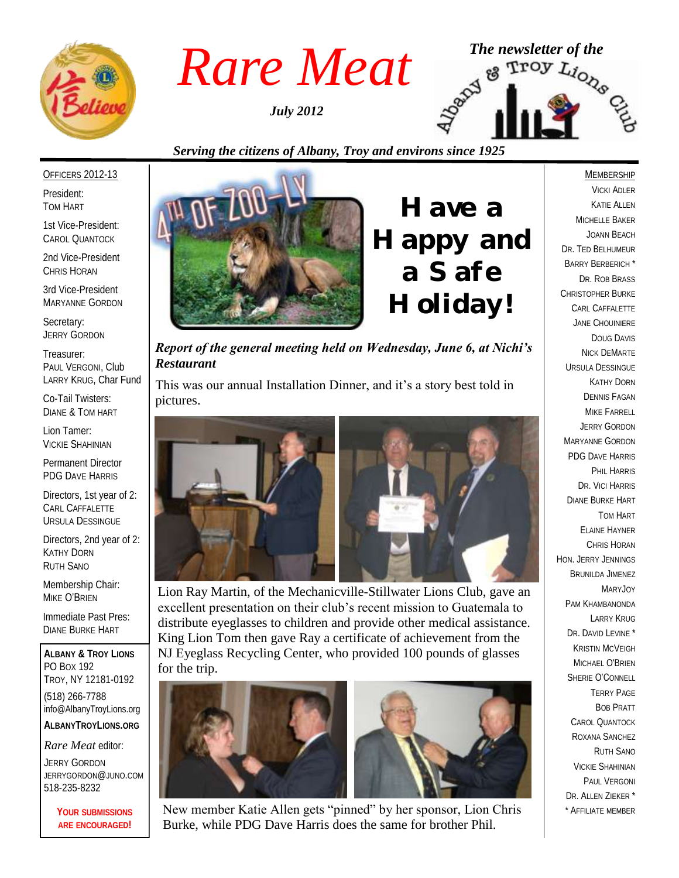

*July 2012*



# *Serving the citizens of Albany, Troy and environs since 1925*

#### OFFICERS 2012-13

President: TOM HART

1st Vice-President: CAROL QUANTOCK

2nd Vice-President CHRIS HORAN

3rd Vice-President MARYANNE GORDON

Secretary: JERRY GORDON

Treasurer: PAUL VERGONI, Club LARRY KRUG, Char Fund

Co-Tail Twisters: DIANE & TOM HART

Lion Tamer: VICKIE SHAHINIAN

Permanent Director PDG DAVE HARRIS

Directors, 1st year of 2: CARL CAFFALETTE URSULA DESSINGUE

Directors, 2nd year of 2: KATHY DORN RUTH SANO

Membership Chair: MIKE O'BRIEN

Immediate Past Pres: DIANE BURKE HART

**ALBANY & TROY LIONS** PO BOX 192 TROY, NY 12181-0192 (518) 266-7788 info@AlbanyTroyLions.org **ALBANYTROYLIONS.ORG**

*Rare Meat* editor: JERRY GORDON JERRYGORDON@JUNO.COM 518-235-8232

> **YOUR SUBMISSIONS ARE ENCOURAGED!**



**Have a Happy and a Safe Holiday!**

*Report of the general meeting held on Wednesday, June 6, at Nichi's Restaurant*

This was our annual Installation Dinner, and it's a story best told in pictures.



Lion Ray Martin, of the Mechanicville-Stillwater Lions Club, gave an excellent presentation on their club's recent mission to Guatemala to distribute eyeglasses to children and provide other medical assistance. King Lion Tom then gave Ray a certificate of achievement from the NJ Eyeglass Recycling Center, who provided 100 pounds of glasses for the trip.





New member Katie Allen gets "pinned" by her sponsor, Lion Chris Burke, while PDG Dave Harris does the same for brother Phil.

#### **MEMBERSHIP**

VICKI ADLER KATIE ALLEN MICHELLE BAKER JOANN BEACH DR. TED BELHUMEUR BARRY BERBERICH \* DR. ROB BRASS CHRISTOPHER BURKE CARL CAFFALETTE JANE CHOUINIERE DOUG DAVIS NICK DEMARTE URSULA DESSINGUE KATHY DORN DENNIS FAGAN MIKE FARRELL JERRY GORDON MARYANNE GORDON PDG DAVE HARRIS PHIL HARRIS DR. VICI HARRIS DIANE BURKE HART TOM HART ELAINE HAYNER CHRIS HORAN HON. JERRY JENNINGS BRUNILDA JIMENEZ MARYJOY PAM KHAMBANONDA LARRY KRUG DR. DAVID LEVINE<sup>\*</sup> KRISTIN MCVEIGH MICHAEL O'BRIEN SHERIE O'CONNELL TERRY PAGE BOB PRATT CAROL QUANTOCK ROXANA SANCHEZ RUTH SANO VICKIE SHAHINIAN PAUL VERGONI DR. ALLEN 7IFKER \* \* AFFILIATE MEMBER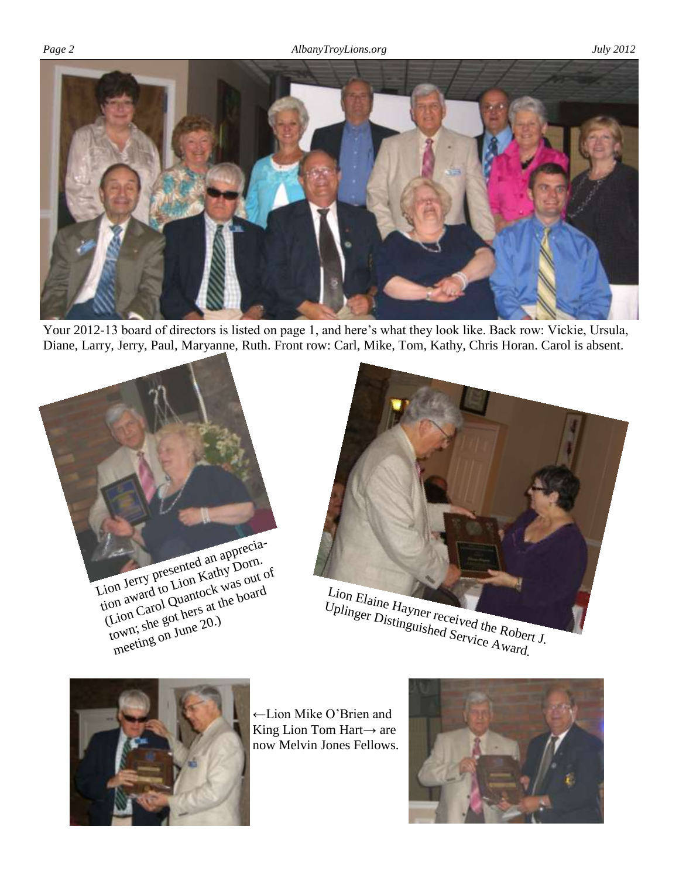



Your 2012-13 board of directors is listed on page 1, and here's what they look like. Back row: Vickie, Ursula, Diane, Larry, Jerry, Paul, Maryanne, Ruth. Front row: Carl, Mike, Tom, Kathy, Chris Horan. Carol is absent.

Lion Jerry presented an apprecia-Louis vity programs and the proof. (Lion Carol Quantock was out of town; she got hers at the board meeting on June 20.)





**←**Lion Mike O'Brien and King Lion Tom Hart**→** are now Melvin Jones Fellows.

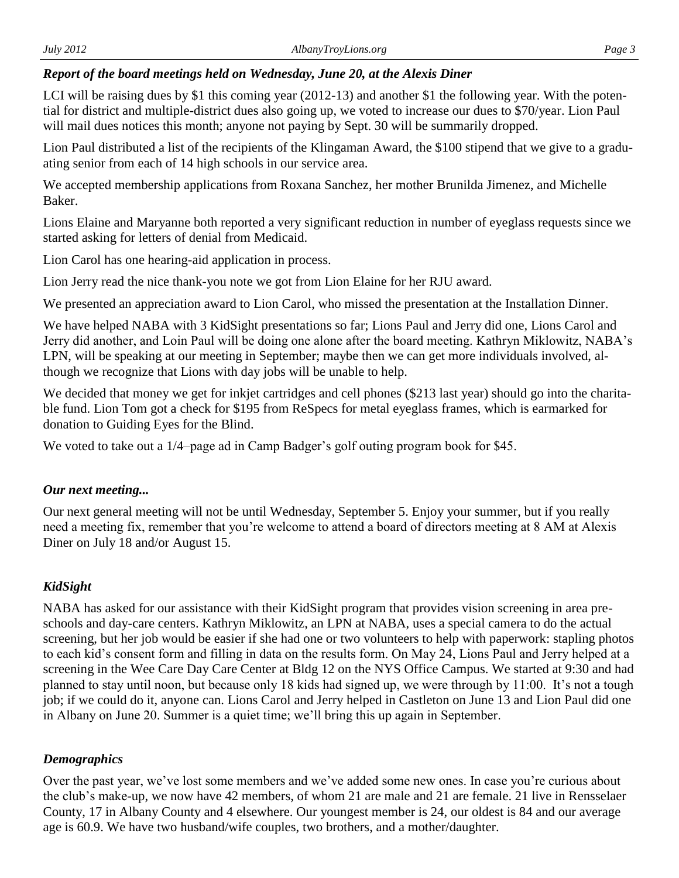### *Report of the board meetings held on Wednesday, June 20, at the Alexis Diner*

LCI will be raising dues by \$1 this coming year (2012-13) and another \$1 the following year. With the potential for district and multiple-district dues also going up, we voted to increase our dues to \$70/year. Lion Paul will mail dues notices this month; anyone not paying by Sept. 30 will be summarily dropped.

Lion Paul distributed a list of the recipients of the Klingaman Award, the \$100 stipend that we give to a graduating senior from each of 14 high schools in our service area.

We accepted membership applications from Roxana Sanchez, her mother Brunilda Jimenez, and Michelle Baker.

Lions Elaine and Maryanne both reported a very significant reduction in number of eyeglass requests since we started asking for letters of denial from Medicaid.

Lion Carol has one hearing-aid application in process.

Lion Jerry read the nice thank-you note we got from Lion Elaine for her RJU award.

We presented an appreciation award to Lion Carol, who missed the presentation at the Installation Dinner.

We have helped NABA with 3 KidSight presentations so far; Lions Paul and Jerry did one, Lions Carol and Jerry did another, and Loin Paul will be doing one alone after the board meeting. Kathryn Miklowitz, NABA's LPN, will be speaking at our meeting in September; maybe then we can get more individuals involved, although we recognize that Lions with day jobs will be unable to help.

We decided that money we get for inkjet cartridges and cell phones (\$213 last year) should go into the charitable fund. Lion Tom got a check for \$195 from ReSpecs for metal eyeglass frames, which is earmarked for donation to Guiding Eyes for the Blind.

We voted to take out a 1/4–page ad in Camp Badger's golf outing program book for \$45.

### *Our next meeting...*

Our next general meeting will not be until Wednesday, September 5. Enjoy your summer, but if you really need a meeting fix, remember that you're welcome to attend a board of directors meeting at 8 AM at Alexis Diner on July 18 and/or August 15.

### *KidSight*

NABA has asked for our assistance with their KidSight program that provides vision screening in area preschools and day-care centers. Kathryn Miklowitz, an LPN at NABA, uses a special camera to do the actual screening, but her job would be easier if she had one or two volunteers to help with paperwork: stapling photos to each kid's consent form and filling in data on the results form. On May 24, Lions Paul and Jerry helped at a screening in the Wee Care Day Care Center at Bldg 12 on the NYS Office Campus. We started at 9:30 and had planned to stay until noon, but because only 18 kids had signed up, we were through by 11:00. It's not a tough job; if we could do it, anyone can. Lions Carol and Jerry helped in Castleton on June 13 and Lion Paul did one in Albany on June 20. Summer is a quiet time; we'll bring this up again in September.

### *Demographics*

Over the past year, we've lost some members and we've added some new ones. In case you're curious about the club's make-up, we now have 42 members, of whom 21 are male and 21 are female. 21 live in Rensselaer County, 17 in Albany County and 4 elsewhere. Our youngest member is 24, our oldest is 84 and our average age is 60.9. We have two husband/wife couples, two brothers, and a mother/daughter.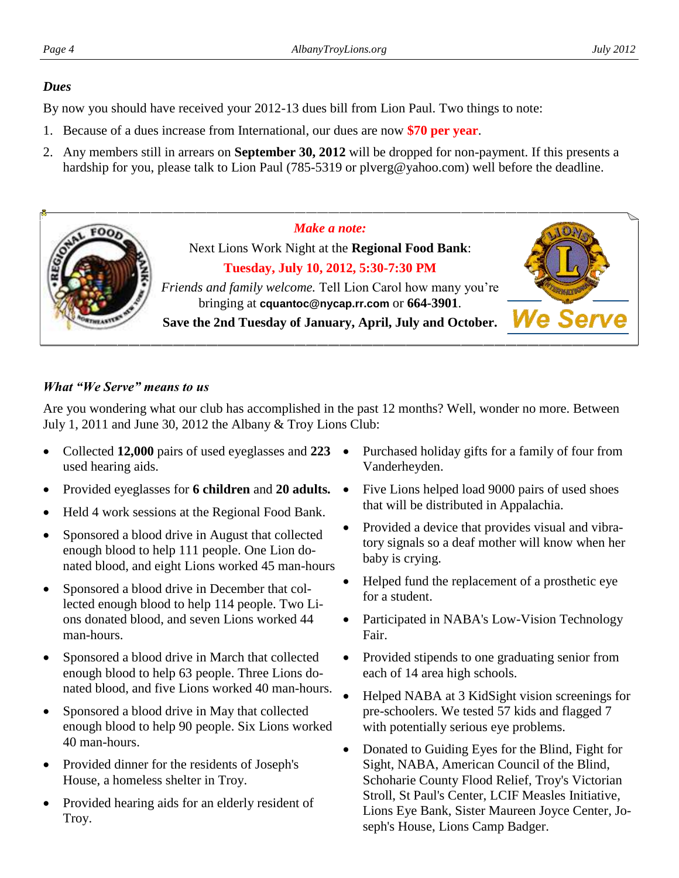#### *Dues*

By now you should have received your 2012-13 dues bill from Lion Paul. Two things to note:

- 1. Because of a dues increase from International, our dues are now **\$70 per year**.
- 2. Any members still in arrears on **September 30, 2012** will be dropped for non-payment. If this presents a hardship for you, please talk to Lion Paul (785-5319 or plverg@yahoo.com) well before the deadline.



# *What "We Serve" means to us*

Are you wondering what our club has accomplished in the past 12 months? Well, wonder no more. Between July 1, 2011 and June 30, 2012 the Albany & Troy Lions Club:

- Collected **12,000** pairs of used eyeglasses and **223**  used hearing aids.
- Provided eyeglasses for **6 children** and **20 adults.**
- Held 4 work sessions at the Regional Food Bank.
- Sponsored a blood drive in August that collected enough blood to help 111 people. One Lion donated blood, and eight Lions worked 45 man-hours
- Sponsored a blood drive in December that collected enough blood to help 114 people. Two Lions donated blood, and seven Lions worked 44 man-hours.
- Sponsored a blood drive in March that collected enough blood to help 63 people. Three Lions donated blood, and five Lions worked 40 man-hours.
- Sponsored a blood drive in May that collected enough blood to help 90 people. Six Lions worked 40 man-hours.
- Provided dinner for the residents of Joseph's House, a homeless shelter in Troy.
- Provided hearing aids for an elderly resident of Troy.
- Purchased holiday gifts for a family of four from Vanderheyden.
- Five Lions helped load 9000 pairs of used shoes that will be distributed in Appalachia.
- Provided a device that provides visual and vibratory signals so a deaf mother will know when her baby is crying.
- Helped fund the replacement of a prosthetic eye for a student.
- Participated in NABA's Low-Vision Technology Fair.
- Provided stipends to one graduating senior from each of 14 area high schools.
- Helped NABA at 3 KidSight vision screenings for pre-schoolers. We tested 57 kids and flagged 7 with potentially serious eye problems.
- Donated to Guiding Eyes for the Blind, Fight for Sight, NABA, American Council of the Blind, Schoharie County Flood Relief, Troy's Victorian Stroll, St Paul's Center, LCIF Measles Initiative, Lions Eye Bank, Sister Maureen Joyce Center, Joseph's House, Lions Camp Badger.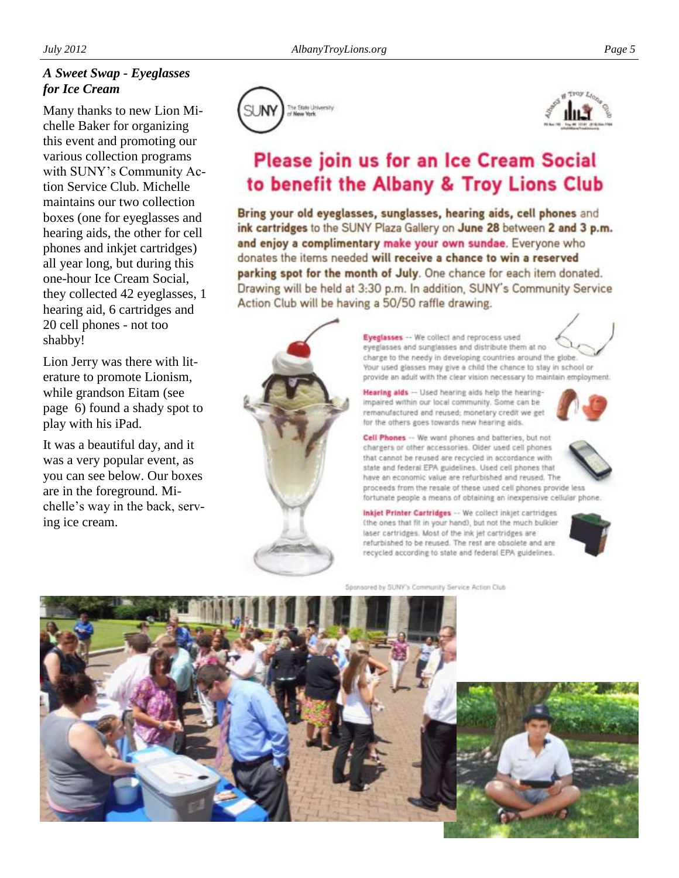#### *A Sweet Swap - Eyeglasses for Ice Cream*

Many thanks to new Lion Michelle Baker for organizing this event and promoting our various collection programs with SUNY's Community Action Service Club. Michelle maintains our two collection boxes (one for eyeglasses and hearing aids, the other for cell phones and inkjet cartridges) all year long, but during this one -hour Ice Cream Social, they collected 42 eyeglasses, 1 hearing aid, 6 cartridges and 20 cell phones - not too shabby!

Lion Jerry was there with literature to promote Lionism, while grandson Eitam (see page 6) found a shady spot to play with his iPad.

It was a beautiful day, and it was a very popular event, as you can see below. Our boxes are in the foreground. Michelle's way in the back, serving ice cream.





# Please join us for an Ice Cream Social to benefit the Albany & Troy Lions Club

Bring your old eyeglasses, sunglasses, hearing aids, cell phones and ink cartridges to the SUNY Plaza Gallery on June 28 between 2 and 3 p.m. and enjoy a complimentary make your own sundae. Everyone who donates the items needed will receive a chance to win a reserved parking spot for the month of July. One chance for each item donated. Drawing will be held at 3:30 p.m. In addition, SUNY's Community Service Action Club will be having a 50/50 raffle drawing.



Eyeglasses -- We collect and reprocess used eyeglasses and sunglasses and distribute them at no charge to the needy in developing countries around the globe. Your used glasses may give a child the chance to stay in school or provide an adult with the clear vision necessary to maintain employment.

Hearing alds -- Used hearing aids help the hearingimpaired within our local community. Some can be remanufactured and reused; monetary credit we get for the others goes towards new hearing aids.



Cell Phones -- We want phones and batteries, but not chargers or other accessories. Older used cell phones that cannot be reused are recycled in accordance with state and federal EPA guidelines. Used cell phones that have an economic value are refurbished and reused. The proceeds from the resale of these used cell phones provide less

fortunate people a means of obtaining an inexpensive cellular phone.

Inkjet Printer Cartridges -- We collect inkjet cartridges (the ones that fit in your hand), but not the much bulkier laser cartridges. Most of the ink jet cartridges are refurbished to be reused. The rest are obsolete and are recycled according to state and federal EPA guidelines.



Spinsored by SUNY's Community Service Action Club